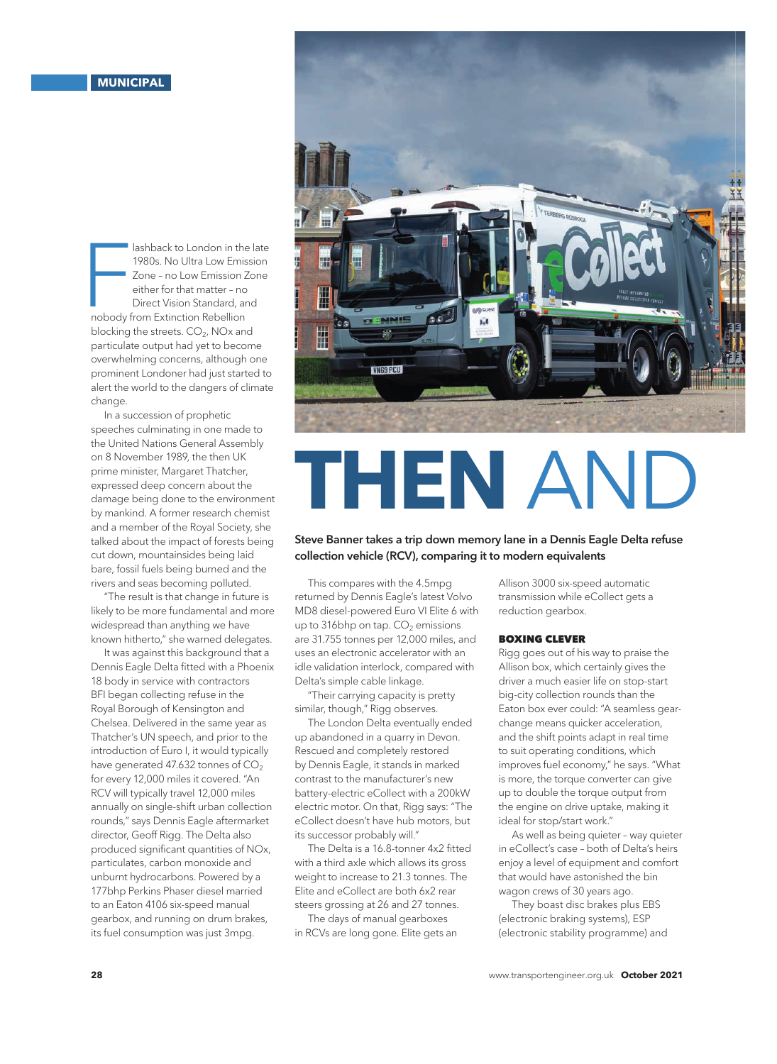Iashback to London in the<br>
1980s. No Ultra Low Emission Z<br>
Zone – no Low Emission Z<br>
either for that matter – no<br>
Direct Vision Standard, ar<br>
nobody from Extinction Rebellion lashback to London in the late 1980s. No Ultra Low Emission Zone – no Low Emission Zone either for that matter – no Direct Vision Standard, and blocking the streets.  $CO<sub>2</sub>$ , NOx and particulate output had yet to become overwhelming concerns, although one prominent Londoner had just started to alert the world to the dangers of climate change.

In a succession of prophetic speeches culminating in one made to the United Nations General Assembly on 8 November 1989, the then UK prime minister, Margaret Thatcher, expressed deep concern about the damage being done to the environment by mankind. A former research chemist and a member of the Royal Society, she talked about the impact of forests being cut down, mountainsides being laid bare, fossil fuels being burned and the rivers and seas becoming polluted.

"The result is that change in future is likely to be more fundamental and more widespread than anything we have known hitherto," she warned delegates.

It was against this background that a Dennis Eagle Delta fitted with a Phoenix 18 body in service with contractors BFI began collecting refuse in the Royal Borough of Kensington and Chelsea. Delivered in the same year as Thatcher's UN speech, and prior to the introduction of Euro I, it would typically have generated 47.632 tonnes of  $CO<sub>2</sub>$ for every 12,000 miles it covered. "An RCV will typically travel 12,000 miles annually on single-shift urban collection rounds," says Dennis Eagle aftermarket director, Geoff Rigg. The Delta also produced significant quantities of NOx, particulates, carbon monoxide and unburnt hydrocarbons. Powered by a 177bhp Perkins Phaser diesel married to an Eaton 4106 six-speed manual gearbox, and running on drum brakes, its fuel consumption was just 3mpg.



## **THEN** AND

## Steve Banner takes a trip down memory lane in a Dennis Eagle Delta refuse collection vehicle (RCV), comparing it to modern equivalents

This compares with the 4.5mpg returned by Dennis Eagle's latest Volvo MD8 diesel-powered Euro VI Elite 6 with up to 316bhp on tap.  $CO<sub>2</sub>$  emissions are 31.755 tonnes per 12,000 miles, and uses an electronic accelerator with an idle validation interlock, compared with Delta's simple cable linkage.

"Their carrying capacity is pretty similar, though," Rigg observes.

The London Delta eventually ended up abandoned in a quarry in Devon. Rescued and completely restored by Dennis Eagle, it stands in marked contrast to the manufacturer's new battery-electric eCollect with a 200kW electric motor. On that, Rigg says: "The eCollect doesn't have hub motors, but its successor probably will."

The Delta is a 16.8-tonner 4x2 fitted with a third axle which allows its gross weight to increase to 21.3 tonnes. The Elite and eCollect are both 6x2 rear steers grossing at 26 and 27 tonnes.

The days of manual gearboxes in RCVs are long gone. Elite gets an Allison 3000 six-speed automatic transmission while eCollect gets a reduction gearbox.

## BOXING CLEVER

Rigg goes out of his way to praise the Allison box, which certainly gives the driver a much easier life on stop-start big-city collection rounds than the Eaton box ever could: "A seamless gearchange means quicker acceleration, and the shift points adapt in real time to suit operating conditions, which improves fuel economy," he says. "What is more, the torque converter can give up to double the torque output from the engine on drive uptake, making it ideal for stop/start work."

As well as being quieter – way quieter in eCollect's case – both of Delta's heirs enjoy a level of equipment and comfort that would have astonished the bin wagon crews of 30 years ago.

They boast disc brakes plus EBS (electronic braking systems), ESP (electronic stability programme) and